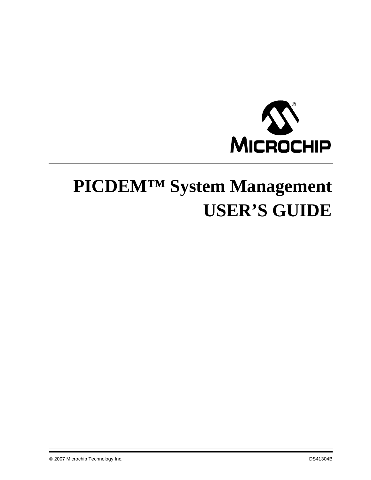

# **PICDEM™ System Management USER'S GUIDE**

© 2007 Microchip Technology Inc. DS41304B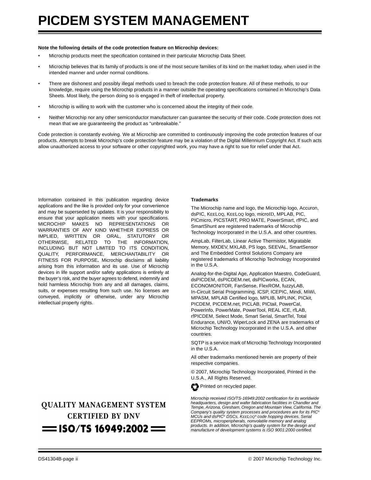#### **Note the following details of the code protection feature on Microchip devices:**

- Microchip products meet the specification contained in their particular Microchip Data Sheet.
- Microchip believes that its family of products is one of the most secure families of its kind on the market today, when used in the intended manner and under normal conditions.
- There are dishonest and possibly illegal methods used to breach the code protection feature. All of these methods, to our knowledge, require using the Microchip products in a manner outside the operating specifications contained in Microchip's Data Sheets. Most likely, the person doing so is engaged in theft of intellectual property.
- Microchip is willing to work with the customer who is concerned about the integrity of their code.
- Neither Microchip nor any other semiconductor manufacturer can guarantee the security of their code. Code protection does not mean that we are guaranteeing the product as "unbreakable."

Code protection is constantly evolving. We at Microchip are committed to continuously improving the code protection features of our products. Attempts to break Microchip's code protection feature may be a violation of the Digital Millennium Copyright Act. If such acts allow unauthorized access to your software or other copyrighted work, you may have a right to sue for relief under that Act.

Information contained in this publication regarding device applications and the like is provided only for your convenience and may be superseded by updates. It is your responsibility to ensure that your application meets with your specifications. MICROCHIP MAKES NO REPRESENTATIONS OR WARRANTIES OF ANY KIND WHETHER EXPRESS OR IMPLIED, WRITTEN OR ORAL, STATUTORY OR OTHERWISE, RELATED TO THE INFORMATION, INCLUDING BUT NOT LIMITED TO ITS CONDITION, QUALITY, PERFORMANCE, MERCHANTABILITY OR FITNESS FOR PURPOSE**.** Microchip disclaims all liability arising from this information and its use. Use of Microchip devices in life support and/or safety applications is entirely at the buyer's risk, and the buyer agrees to defend, indemnify and hold harmless Microchip from any and all damages, claims, suits, or expenses resulting from such use. No licenses are conveyed, implicitly or otherwise, under any Microchip intellectual property rights.

### **OUALITY MANAGEMENT SYSTEM CERTIFIED BY DNV**  $=$  ISO/TS 16949:2002  $=$

#### **Trademarks**

The Microchip name and logo, the Microchip logo, Accuron, dsPIC, KEELOQ, KEELOQ logo, microID, MPLAB, PIC, PICmicro, PICSTART, PRO MATE, PowerSmart, rfPIC, and SmartShunt are registered trademarks of Microchip Technology Incorporated in the U.S.A. and other countries.

AmpLab, FilterLab, Linear Active Thermistor, Migratable Memory, MXDEV, MXLAB, PS logo, SEEVAL, SmartSensor and The Embedded Control Solutions Company are registered trademarks of Microchip Technology Incorporated in the U.S.A.

Analog-for-the-Digital Age, Application Maestro, CodeGuard, dsPICDEM, dsPICDEM.net, dsPICworks, ECAN, ECONOMONITOR, FanSense, FlexROM, fuzzyLAB, In-Circuit Serial Programming, ICSP, ICEPIC, Mindi, MiWi, MPASM, MPLAB Certified logo, MPLIB, MPLINK, PICkit, PICDEM, PICDEM.net, PICLAB, PICtail, PowerCal, PowerInfo, PowerMate, PowerTool, REAL ICE, rfLAB, rfPICDEM, Select Mode, Smart Serial, SmartTel, Total Endurance, UNI/O, WiperLock and ZENA are trademarks of Microchip Technology Incorporated in the U.S.A. and other countries.

SQTP is a service mark of Microchip Technology Incorporated in the U.S.A.

All other trademarks mentioned herein are property of their respective companies.

© 2007, Microchip Technology Incorporated, Printed in the U.S.A., All Rights Reserved.



*Microchip received ISO/TS-16949:2002 certification for its worldwide headquarters, design and wafer fabrication facilities in Chandler and Tempe, Arizona, Gresham, Oregon and Mountain View, California. The Company's quality system processes and procedures are for its PIC® MCUs and dsPIC® DSCs, KEELOQ® code hopping devices, Serial EEPROMs, microperipherals, nonvolatile memory and analog products. In addition, Microchip's quality system for the design and manufacture of development systems is ISO 9001:2000 certified.*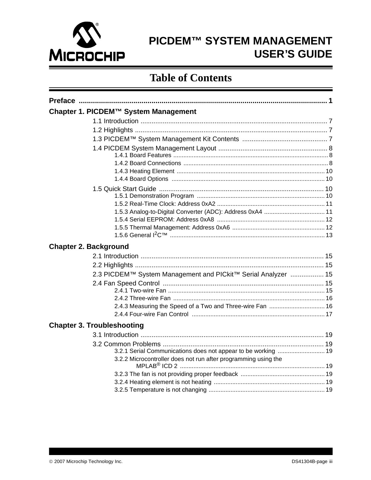

# PICDEM™ SYSTEM MANAGEMENT **USER'S GUIDE**

### **Table of Contents**

| Chapter 1. PICDEM™ System Management                                                                                            |
|---------------------------------------------------------------------------------------------------------------------------------|
|                                                                                                                                 |
|                                                                                                                                 |
|                                                                                                                                 |
|                                                                                                                                 |
|                                                                                                                                 |
|                                                                                                                                 |
|                                                                                                                                 |
|                                                                                                                                 |
|                                                                                                                                 |
|                                                                                                                                 |
|                                                                                                                                 |
|                                                                                                                                 |
| <b>Chapter 2. Background</b>                                                                                                    |
|                                                                                                                                 |
|                                                                                                                                 |
| 2.3 PICDEM™ System Management and PICkit™ Serial Analyzer  15                                                                   |
|                                                                                                                                 |
| 2.4.3 Measuring the Speed of a Two and Three-wire Fan  16                                                                       |
|                                                                                                                                 |
| <b>Chapter 3. Troubleshooting</b>                                                                                               |
|                                                                                                                                 |
| 3.2.1 Serial Communications does not appear to be working  19<br>3.2.2 Microcontroller does not run after programming using the |
|                                                                                                                                 |
|                                                                                                                                 |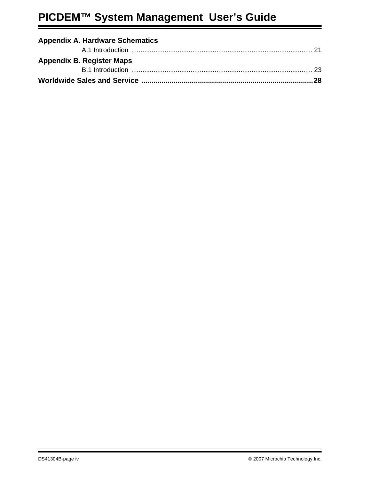# **PICDEM™ System Management User's Guide**

| <b>Appendix A. Hardware Schematics</b> |  |
|----------------------------------------|--|
|                                        |  |
| <b>Appendix B. Register Maps</b>       |  |
|                                        |  |
|                                        |  |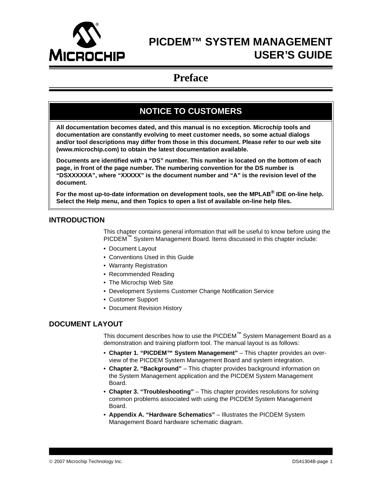<span id="page-4-0"></span>

### **PICDEM™ SYSTEM MANAGEMENT USER'S GUIDE**

### **Preface**

### **NOTICE TO CUSTOMERS**

**All documentation becomes dated, and this manual is no exception. Microchip tools and documentation are constantly evolving to meet customer needs, so some actual dialogs and/or tool descriptions may differ from those in this document. Please refer to our web site (www.microchip.com) to obtain the latest documentation available.**

**Documents are identified with a "DS" number. This number is located on the bottom of each page, in front of the page number. The numbering convention for the DS number is "DSXXXXXA", where "XXXXX" is the document number and "A" is the revision level of the document.**

**For the most up-to-date information on development tools, see the MPLAB® IDE on-line help. Select the Help menu, and then Topics to open a list of available on-line help files.**

#### **INTRODUCTION**

This chapter contains general information that will be useful to know before using the PICDEM™ System Management Board. Items discussed in this chapter include:

- • [Document Layout](#page-4-1)
- • [Conventions Used in this Guide](#page-5-0)
- • [Warranty Registration](#page-6-0)
- • [Recommended Reading](#page-6-1)
- • [The Microchip Web Site](#page-7-0)
- • [Development Systems Customer Change Notification Service](#page-7-1)
- • [Customer Support](#page-8-0)
- • [Document Revision History](#page-8-1)

#### <span id="page-4-1"></span>**DOCUMENT LAYOUT**

This document describes how to use the PICDEM™ System Management Board as a demonstration and training platform tool. The manual layout is as follows:

- **[Chapter 1. "PICDEM™ System Management"](#page-10-4)** This chapter provides an overview of the PICDEM System Management Board and system integration.
- **[Chapter 2. "Background"](#page-18-6)** This chapter provides background information on the System Management application and the PICDEM System Management Board.
- **[Chapter 3. "Troubleshooting"](#page-22-8)** This chapter provides resolutions for solving common problems associated with using the PICDEM System Management Board.
- **[Appendix A. "Hardware Schematics"](#page-24-2)** Illustrates the PICDEM System Management Board hardware schematic diagram.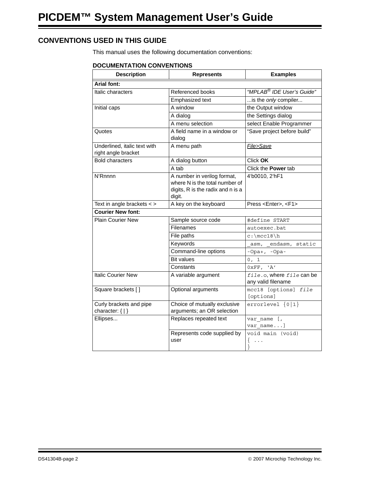#### <span id="page-5-0"></span>**CONVENTIONS USED IN THIS GUIDE**

This manual uses the following documentation conventions:

#### **DOCUMENTATION CONVENTIONS**

| <b>Description</b>                                  | <b>Represents</b>                                                                                            | <b>Examples</b>                                               |
|-----------------------------------------------------|--------------------------------------------------------------------------------------------------------------|---------------------------------------------------------------|
| <b>Arial font:</b>                                  |                                                                                                              |                                                               |
| Italic characters                                   | Referenced books                                                                                             | "MPLAB <sup>®</sup> IDE User's Guide"                         |
|                                                     | Emphasized text                                                                                              | is the only compiler                                          |
| Initial caps                                        | A window                                                                                                     | the Output window                                             |
|                                                     | A dialog                                                                                                     | the Settings dialog                                           |
|                                                     | A menu selection                                                                                             | select Enable Programmer                                      |
| Quotes                                              | A field name in a window or<br>dialog                                                                        | "Save project before build"                                   |
| Underlined, italic text with<br>right angle bracket | A menu path                                                                                                  | File>Save                                                     |
| <b>Bold characters</b>                              | A dialog button                                                                                              | Click OK                                                      |
|                                                     | A tab                                                                                                        | Click the Power tab                                           |
| <b>N'Rnnnn</b>                                      | A number in verilog format,<br>where N is the total number of<br>digits, R is the radix and n is a<br>digit. | 4'b0010, 2'hF1                                                |
| Text in angle brackets $\lt$ >                      | A key on the keyboard                                                                                        | Press <enter>, <f1></f1></enter>                              |
| <b>Courier New font:</b>                            |                                                                                                              |                                                               |
| <b>Plain Courier New</b>                            | Sample source code                                                                                           | #define START                                                 |
|                                                     | Filenames                                                                                                    | autoexec.bat                                                  |
|                                                     | File paths                                                                                                   | $c:\mctan$                                                    |
|                                                     | Keywords                                                                                                     | asm, endasm, static                                           |
|                                                     | Command-line options                                                                                         | $-Opa+, -Opa-$                                                |
|                                                     | <b>Bit values</b>                                                                                            | 0, 1                                                          |
|                                                     | Constants                                                                                                    | 0xFF, 'A'                                                     |
| <b>Italic Courier New</b>                           | A variable argument                                                                                          | file.o, where file can be<br>any valid filename               |
| Square brackets []                                  | Optional arguments                                                                                           | mcc18 [options] file<br>[options]                             |
| Curly brackets and pipe                             | Choice of mutually exclusive                                                                                 | errorlevel $\{0 1\}$                                          |
| character: $\{   \}$                                | arguments; an OR selection                                                                                   |                                                               |
| Ellipses                                            | Replaces repeated text                                                                                       | var name [,<br>var name]                                      |
|                                                     | Represents code supplied by<br>user                                                                          | void main (void)<br>$\left\{ \right.$<br>$\sim$ $\sim$ $\sim$ |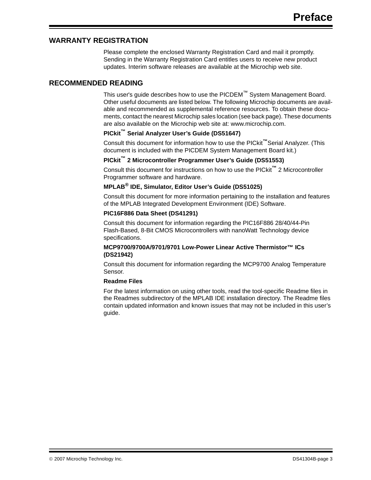#### <span id="page-6-0"></span>**WARRANTY REGISTRATION**

Please complete the enclosed Warranty Registration Card and mail it promptly. Sending in the Warranty Registration Card entitles users to receive new product updates. Interim software releases are available at the Microchip web site.

#### <span id="page-6-1"></span>**RECOMMENDED READING**

This user's guide describes how to use the PICDEM™ System Management Board. Other useful documents are listed below. The following Microchip documents are available and recommended as supplemental reference resources. To obtain these documents, contact the nearest Microchip sales location (see back page). These documents are also available on the Microchip web site at: www.microchip.com.

#### **PICkit™ Serial Analyzer User's Guide (DS51647)**

Consult this document for information how to use the PICkit**™**Serial Analyzer. (This document is included with the PICDEM System Management Board kit.)

#### **PICkit™ 2 Microcontroller Programmer User's Guide (DS51553)**

Consult this document for instructions on how to use the PICkit**™** 2 Microcontroller Programmer software and hardware.

#### **MPLAB® IDE, Simulator, Editor User's Guide (DS51025)**

Consult this document for more information pertaining to the installation and features of the MPLAB Integrated Development Environment (IDE) Software.

#### **PIC16F886 Data Sheet (DS41291)**

Consult this document for information regarding the PIC16F886 28/40/44-Pin Flash-Based, 8-Bit CMOS Microcontrollers with nanoWatt Technology device specifications.

#### **MCP9700/9700A/9701/9701 Low-Power Linear Active Thermistor™ ICs (DS21942)**

Consult this document for information regarding the MCP9700 Analog Temperature Sensor.

#### **Readme Files**

For the latest information on using other tools, read the tool-specific Readme files in the Readmes subdirectory of the MPLAB IDE installation directory. The Readme files contain updated information and known issues that may not be included in this user's guide.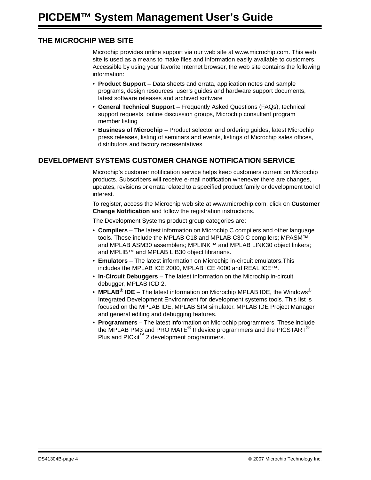#### <span id="page-7-0"></span>**THE MICROCHIP WEB SITE**

Microchip provides online support via our web site at www.microchip.com. This web site is used as a means to make files and information easily available to customers. Accessible by using your favorite Internet browser, the web site contains the following information:

- **Product Support** Data sheets and errata, application notes and sample programs, design resources, user's guides and hardware support documents, latest software releases and archived software
- **General Technical Support** Frequently Asked Questions (FAQs), technical support requests, online discussion groups, Microchip consultant program member listing
- **Business of Microchip** Product selector and ordering guides, latest Microchip press releases, listing of seminars and events, listings of Microchip sales offices, distributors and factory representatives

#### <span id="page-7-1"></span>**DEVELOPMENT SYSTEMS CUSTOMER CHANGE NOTIFICATION SERVICE**

Microchip's customer notification service helps keep customers current on Microchip products. Subscribers will receive e-mail notification whenever there are changes, updates, revisions or errata related to a specified product family or development tool of interest.

To register, access the Microchip web site at www.microchip.com, click on **Customer Change Notification** and follow the registration instructions.

The Development Systems product group categories are:

- **Compilers** The latest information on Microchip C compilers and other language tools. These include the MPLAB C18 and MPLAB C30 C compilers; MPASM™ and MPLAB ASM30 assemblers: MPLINK™ and MPLAB LINK30 object linkers: and MPLIB™ and MPLAB LIB30 object librarians.
- **Emulators** The latest information on Microchip in-circuit emulators.This includes the MPLAB ICE 2000, MPLAB ICE 4000 and REAL ICE™.
- **In-Circuit Debuggers** The latest information on the Microchip in-circuit debugger, MPLAB ICD 2.
- **MPLAB® IDE** The latest information on Microchip MPLAB IDE, the Windows® Integrated Development Environment for development systems tools. This list is focused on the MPLAB IDE, MPLAB SIM simulator, MPLAB IDE Project Manager and general editing and debugging features.
- **Programmers** The latest information on Microchip programmers. These include the MPLAB PM3 and PRO MATE® II device programmers and the PICSTART® Plus and PICkit<sup>™</sup> 2 development programmers.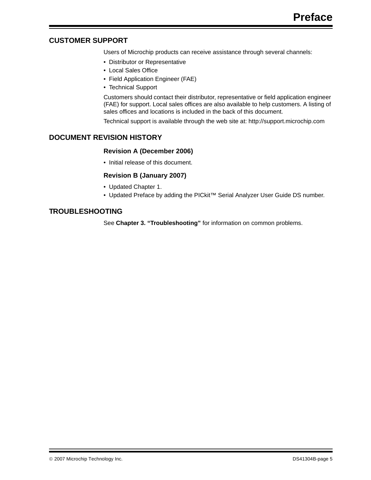#### <span id="page-8-0"></span>**CUSTOMER SUPPORT**

Users of Microchip products can receive assistance through several channels:

- Distributor or Representative
- Local Sales Office
- Field Application Engineer (FAE)
- Technical Support

Customers should contact their distributor, representative or field application engineer (FAE) for support. Local sales offices are also available to help customers. A listing of sales offices and locations is included in the back of this document.

Technical support is available through the web site at: http://support.microchip.com

#### <span id="page-8-1"></span>**DOCUMENT REVISION HISTORY**

#### **Revision A (December 2006)**

• Initial release of this document.

#### **Revision B (January 2007)**

- Updated Chapter 1.
- Updated Preface by adding the PICkit™ Serial Analyzer User Guide DS number.

#### **TROUBLESHOOTING**

See **[Chapter 3. "Troubleshooting"](#page-22-8)** for information on common problems.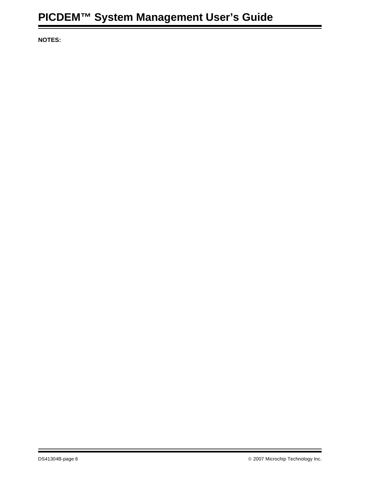**NOTES:**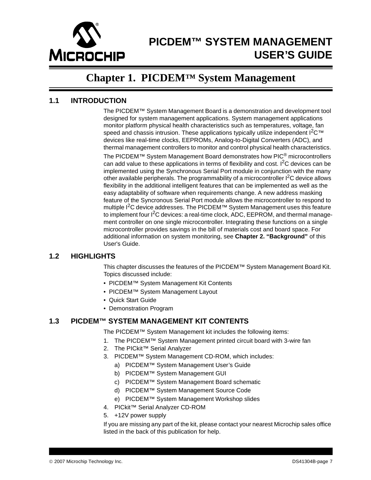

# <span id="page-10-4"></span>**PICDEM™ SYSTEM MANAGEMENT USER'S GUIDE**

### **Chapter 1. PICDEM™ System Management**

#### <span id="page-10-1"></span><span id="page-10-0"></span>**1.1 INTRODUCTION**

The PICDEM™ System Management Board is a demonstration and development tool designed for system management applications. System management applications monitor platform physical health characteristics such as temperatures, voltage, fan speed and chassis intrusion. These applications typically utilize independent  $1^2C^{\text{TM}}$ devices like real-time clocks, EEPROMs, Analog-to-Digital Converters (ADC), and thermal management controllers to monitor and control physical health characteristics. The PICDEM™ System Management Board demonstrates how PIC<sup>®</sup> microcontrollers can add value to these applications in terms of flexibility and cost.  $I^2C$  devices can be implemented using the Synchronous Serial Port module in conjunction with the many other available peripherals. The programmability of a microcontroller I<sup>2</sup>C device allows flexibility in the additional intelligent features that can be implemented as well as the easy adaptability of software when requirements change. A new address masking feature of the Syncronous Serial Port module allows the microcontroller to respond to multiple  $1<sup>2</sup>C$  device addresses. The PICDEM™ System Management uses this feature to implement four  $I^2C$  devices: a real-time clock, ADC, EEPROM, and thermal management controller on one single microcontroller. Integrating these functions on a single microcontroller provides savings in the bill of materials cost and board space. For additional information on system monitoring, see **[Chapter 2. "Background"](#page-18-6)** of this User's Guide.

#### <span id="page-10-2"></span>**1.2 HIGHLIGHTS**

This chapter discusses the features of the PICDEM™ System Management Board Kit. Topics discussed include:

- PICDEM™ System Management Kit Contents
- PICDEM™ System Management Layout
- Quick Start Guide
- Demonstration Program

#### <span id="page-10-3"></span>**1.3 PICDEM™ SYSTEM MANAGEMENT KIT CONTENTS**

The PICDEM™ System Management kit includes the following items:

- 1. The PICDEM™ System Management printed circuit board with 3-wire fan
- 2. The PICkit<sup>™</sup> Serial Analyzer
- 3. PICDEM™ System Management CD-ROM, which includes:
	- a) PICDEM™ System Management User's Guide
	- b) PICDEM™ System Management GUI
	- c) PICDEM™ System Management Board schematic
	- d) PICDEM™ System Management Source Code
	- e) PICDEM™ System Management Workshop slides
- 4. PICkit™ Serial Analyzer CD-ROM
- 5. +12V power supply

If you are missing any part of the kit, please contact your nearest Microchip sales office listed in the back of this publication for help.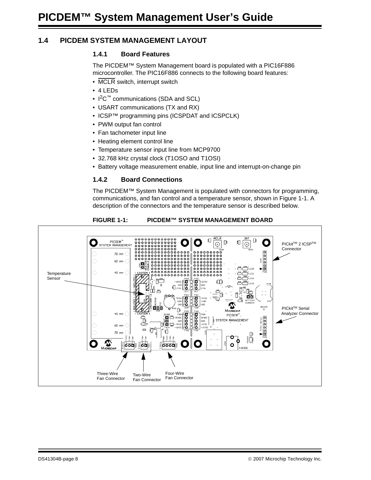#### <span id="page-11-0"></span>**1.4 PICDEM SYSTEM MANAGEMENT LAYOUT**

#### <span id="page-11-1"></span>**1.4.1 Board Features**

The PICDEM™ System Management board is populated with a PIC16F886 microcontroller. The PIC16F886 connects to the following board features:

- MCLR switch, interrupt switch
- 4 LEDs
- $1^2C^{\pi}$  communications (SDA and SCL)
- USART communications (TX and RX)
- ICSP™ programming pins (ICSPDAT and ICSPCLK)
- PWM output fan control
- Fan tachometer input line
- Heating element control line
- Temperature sensor input line from MCP9700
- 32.768 kHz crystal clock (T1OSO and T1OSI)
- Battery voltage measurement enable, input line and interrupt-on-change pin

#### <span id="page-11-2"></span>**1.4.2 Board Connections**

The PICDEM™ System Management is populated with connectors for programming, communications, and fan control and a temperature sensor, shown in [Figure 1-1.](#page-11-3) A description of the connectors and the temperature sensor is described below.

<span id="page-11-3"></span>

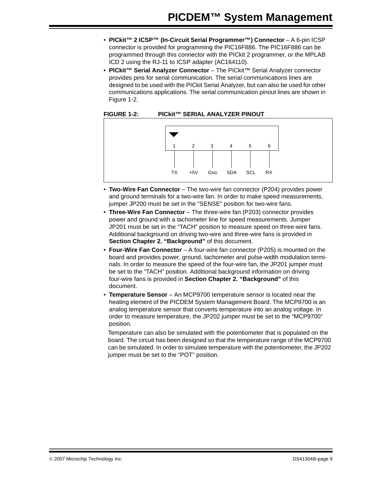- **PICkit™ 2 ICSP™ (In-Circuit Serial Programmer™) Connector** A 6-pin ICSP connector is provided for programming the PIC16F886. The PIC16F886 can be programmed through this connector with the PICkit 2 programmer, or the MPLAB ICD 2 using the RJ-11 to ICSP adapter (AC164110).
- **PICkit™ Serial Analyzer Connector** The PICkit™ Serial Analyzer connector provides pins for serial communication. The serial communications lines are designed to be used with the PICkit Serial Analyzer, but can also be used for other communications applications. The serial communication pinout lines are shown in [Figure 1-2.](#page-12-0)

#### <span id="page-12-0"></span>**FIGURE 1-2: PICkit™ SERIAL ANALYZER PINOUT**



- **Two-Wire Fan Connector** The two-wire fan connector (P204) provides power and ground terminals for a two-wire fan. In order to make speed measurements, jumper JP200 must be set in the "SENSE" position for two-wire fans.
- **Three-Wire Fan Connector** The three-wire fan (P203) connector provides power and ground with a tachometer line for speed measurements. Jumper JP201 must be set in the "TACH" position to measure speed on three-wire fans. Additional background on driving two-wire and three-wire fans is provided in **[Section Chapter 2. "Background"](#page-18-6)** of this document.
- **Four-Wire Fan Connector** A four-wire fan connector (P205) is mounted on the board and provides power, ground, tachometer and pulse-width modulation terminals. In order to measure the speed of the four-wire fan, the JP201 jumper must be set to the "TACH" position. Additional background information on driving four-wire fans is provided in **[Section Chapter 2. "Background"](#page-18-6)** of this document.
- **Temperature Sensor** An MCP9700 temperature sensor is located near the heating element of the PICDEM System Management Board. The MCP9700 is an analog temperature sensor that converts temperature into an analog voltage. In order to measure temperature, the JP202 jumper must be set to the "MCP9700" position.

Temperature can also be simulated with the potentiometer that is populated on the board. The circuit has been designed so that the temperature range of the MCP9700 can be simulated. In order to simulate temperature with the potentiometer, the JP202 jumper must be set to the "POT" position.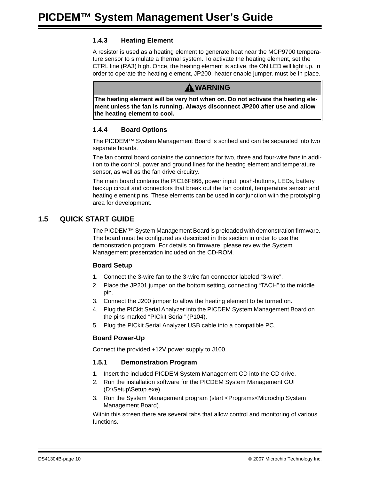#### <span id="page-13-0"></span>**1.4.3 Heating Element**

A resistor is used as a heating element to generate heat near the MCP9700 temperature sensor to simulate a thermal system. To activate the heating element, set the CTRL line (RA3) high. Once, the heating element is active, the ON LED will light up. In order to operate the heating element, JP200, heater enable jumper, must be in place.



**The heating element will be very hot when on. Do not activate the heating element unless the fan is running. Always disconnect JP200 after use and allow the heating element to cool.**

#### <span id="page-13-1"></span>**1.4.4 Board Options**

The PICDEM™ System Management Board is scribed and can be separated into two separate boards.

The fan control board contains the connectors for two, three and four-wire fans in addition to the control, power and ground lines for the heating element and temperature sensor, as well as the fan drive circuitry.

The main board contains the PIC16F866, power input, push-buttons, LEDs, battery backup circuit and connectors that break out the fan control, temperature sensor and heating element pins. These elements can be used in conjunction with the prototyping area for development.

#### <span id="page-13-2"></span>**1.5 QUICK START GUIDE**

The PICDEM™ System Management Board is preloaded with demonstration firmware. The board must be configured as described in this section in order to use the demonstration program. For details on firmware, please review the System Management presentation included on the CD-ROM.

#### **Board Setup**

- 1. Connect the 3-wire fan to the 3-wire fan connector labeled "3-wire".
- 2. Place the JP201 jumper on the bottom setting, connecting "TACH" to the middle pin.
- 3. Connect the J200 jumper to allow the heating element to be turned on.
- 4. Plug the PICkit Serial Analyzer into the PICDEM System Management Board on the pins marked "PICkit Serial" (P104).
- 5. Plug the PICkit Serial Analyzer USB cable into a compatible PC.

#### **Board Power-Up**

Connect the provided +12V power supply to J100.

#### <span id="page-13-3"></span>**1.5.1 Demonstration Program**

- 1. Insert the included PICDEM System Management CD into the CD drive.
- 2. Run the installation software for the PICDEM System Management GUI (D:\Setup\Setup.exe).
- 3. Run the System Management program (start <Programs<Microchip System Management Board).

Within this screen there are several tabs that allow control and monitoring of various functions.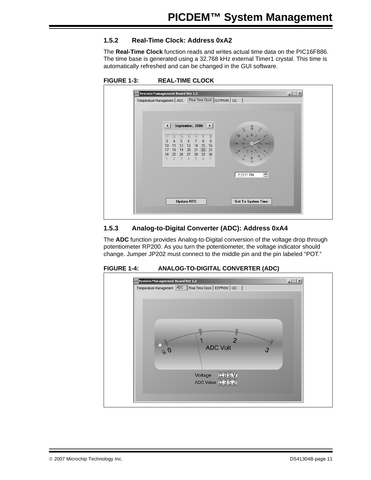#### <span id="page-14-0"></span>**1.5.2 Real-Time Clock: Address 0xA2**

The **Real-Time Clock** function reads and writes actual time data on the PIC16F886. The time base is generated using a 32.768 kHz external Timer1 crystal. This time is automatically refreshed and can be changed in the GUI software.



| Temperature Management   ADC   Real Time Clock   EEPROM   I2C                                                                                                                                                                                                                                                                                 |  |
|-----------------------------------------------------------------------------------------------------------------------------------------------------------------------------------------------------------------------------------------------------------------------------------------------------------------------------------------------|--|
| September, 2006<br>$\overline{\phantom{0}}$<br>$\overline{c}$<br>29<br>27<br>28<br>30<br>31<br>9<br>3<br>5<br>6<br>7<br>8<br>4<br>÷a<br>12<br>13<br>15<br>16<br>14<br>10<br>11<br>19<br>20<br>21<br>18<br>22<br>17<br>23<br>24<br>25<br>27<br>28<br>29<br>26<br>30<br>$\overline{2}$<br>5<br>6<br>3<br>$\overline{4}$<br>7<br>를<br>2:22:11 PM |  |
| <b>Set To System Time</b><br><b>Update RTC</b>                                                                                                                                                                                                                                                                                                |  |

#### <span id="page-14-1"></span>**1.5.3 Analog-to-Digital Converter (ADC): Address 0xA4**

The **ADC** function provides Analog-to-Digital conversion of the voltage drop through potentiometer RP200. As you turn the potentiometer, the voltage indicator should change. Jumper JP202 must connect to the middle pin and the pin labeled "POT."



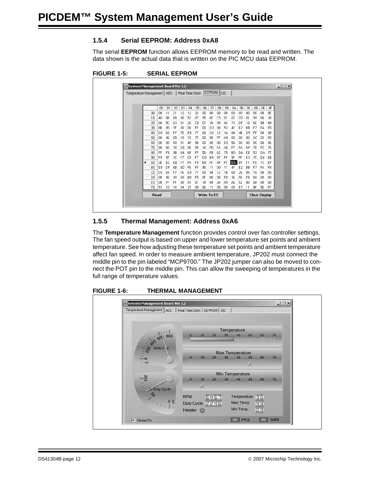#### <span id="page-15-0"></span>**1.5.4 Serial EEPROM: Address 0xA8**

The serial **EEPROM** function allows EEPROM memory to be read and written. The data shown is the actual data that is written on the PIC MCU data EEPROM.



| System Management Board Ver 1.2<br>Temperature Management   ADC |                      |                |                        |          |           | Real Time Clock   EEPROM   I2C |                |           |             |                |          |          |                 |          |                 |                      |          |  |
|-----------------------------------------------------------------|----------------------|----------------|------------------------|----------|-----------|--------------------------------|----------------|-----------|-------------|----------------|----------|----------|-----------------|----------|-----------------|----------------------|----------|--|
|                                                                 |                      |                |                        |          |           |                                |                |           |             |                |          |          |                 |          |                 |                      |          |  |
|                                                                 |                      |                |                        |          |           |                                |                |           |             |                |          |          |                 |          |                 |                      |          |  |
|                                                                 |                      | 00             | 01                     | 02       | 03        | 04                             | 05             | 06        | 07          | 08             | 09       | QA.      | 0B              | OC.      | 0D              | 0E                   | 0F       |  |
|                                                                 | 00                   | 00             | 11                     | 21       | 12        | 12                             | 32             | 00        | 00          | 00             | 00       | 00       | 00              | 00       | 00              | 00                   | 0E       |  |
|                                                                 | 10                   | 4D             | 0B                     | 08       | 00        | 52                             | 07             | 95        | 0C          | C <sub>3</sub> | $_{01}$  | 0C       | CD              | 01       | 99              | 00                   | 38       |  |
|                                                                 | 20                   | 00             | <b>5C</b>              | 03       | 01        | 20                             | CB             | 07        | 38          | 05             | 04       | 73       | DF              | 1D       | OC.             | 8B                   | 89       |  |
|                                                                 | 30                   | 8B             | 05                     | 1F       | 00        | 00                             | FF             | 00        | D3          | 08             | 53       | 4F       | <b>B2</b>       | BB       | F7              | FA                   | FB       |  |
|                                                                 | 40                   | DE             | 63                     | F7       | FE        | E8                             | 77             | 00        | CO.         | 12             | 1A       | 84       | 4B              | D5       | FF              | 00                   | 08       |  |
|                                                                 | 50                   | 00             | 46                     | OD.      | 10        | 10                             | 7C             | 00        | 00          | FF             | A0       | 00       | 00              | 00       | AC.             | 02                   | 00       |  |
|                                                                 | 60                   | 00             | 00                     | 00       | 01        | 4F                             | 90             | 00        | 00          | 00             | DE       | 54       | 00              | 00       | 00              | 06                   | 06       |  |
|                                                                 | 70                   | 00             | 82                     | 10       | <b>DD</b> | 00                             | 05             | 34        | FD.         | FA.            | AE       | FF       | FA              | DF       | 7D              | FC                   | 76       |  |
|                                                                 | 80                   | FF             | F <sub>9</sub>         | 9B       | <b>B4</b> | 6F                             | FF             | <b>5D</b> | <b>FB</b>   | 62             | 75       | BD       | DA              | EE       | 53              | DA                   | 77       |  |
|                                                                 | 90                   | F <sub>9</sub> | 97                     | 3C       | F7        | CF                             | F7             | DD.       | <b>B9</b>   | 87             | FF       | 9F       | FF              | E3       | 7C              | EB.                  | EE       |  |
|                                                                 | A0                   | 3E             | EC                     | EB       | F7        | F8                             | F <sub>9</sub> | <b>B8</b> | FF          | AF             | FF       | IEA I    | BF              | F1       | FD              | 1C                   | EF       |  |
|                                                                 | BO.                  | E8             | DF                     | 6B       | <b>BD</b> | <b>FE</b>                      | FF             | 4D        | 11          | 00             | 11       | 4F       | <b>B2</b>       | BB       | F7              | FA                   | FB       |  |
|                                                                 | CO.                  | DE             | 63                     | F7       | FE        | E8                             | 77             | 00        | 94          | 12             | 1B       | 04       | 20              | 05       | 18              | 00                   | 00       |  |
|                                                                 | D0                   | 00             | 46                     | 40       | 60        | B <sub>0</sub>                 | F <sub>5</sub> | 0F        | 00          | 00             | FD       | 3E       | F <sub>6</sub>  | F8       | QA              | 00                   | 00       |  |
|                                                                 | E0<br>F <sub>0</sub> | 00<br>53       | FF<br>10 <sup>10</sup> | FF<br>14 | 00<br>04  | 01<br>21                       | 81<br>09       | 34<br>06  | 04<br>11    | 24<br>00       | A5<br>00 | AE<br>00 | 02<br><b>B7</b> | 00<br>11 | <b>QA</b><br>8F | 00<br><b>5E</b>      | 00<br>FF |  |
|                                                                 |                      |                |                        |          |           |                                |                |           |             |                |          |          |                 |          |                 |                      |          |  |
|                                                                 | <b>Read</b>          |                |                        |          |           |                                |                |           | Write To EE |                |          |          |                 |          |                 | <b>Clear Display</b> |          |  |
|                                                                 |                      |                |                        |          |           |                                |                |           |             |                |          |          |                 |          |                 |                      |          |  |

#### <span id="page-15-1"></span>**1.5.5 Thermal Management: Address 0xA6**

The **Temperature Management** function provides control over fan controller settings. The fan speed output is based on upper and lower temperature set points and ambient temperature. See how adjusting these temperature set points and ambient temperature affect fan speed. In order to measure ambient temperature, JP202 must connect the middle pin to the pin labeled "MCP9700." The JP202 jumper can also be moved to connect the POT pin to the middle pin. This can allow the sweeping of temperatures in the full range of temperature values.



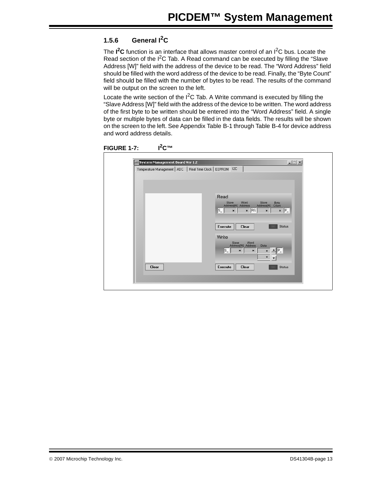#### <span id="page-16-0"></span>**1.5.6 General I2C**

The I<sup>2</sup>C function is an interface that allows master control of an I<sup>2</sup>C bus. Locate the Read section of the  $I^2C$  Tab. A Read command can be executed by filling the "Slave Address [W]" field with the address of the device to be read. The "Word Address" field should be filled with the word address of the device to be read. Finally, the "Byte Count" field should be filled with the number of bytes to be read. The results of the command will be output on the screen to the left.

Locate the write section of the  $I^2C$  Tab. A Write command is executed by filling the "Slave Address [W]" field with the address of the device to be written. The word address of the first byte to be written should be entered into the "Word Address" field. A single byte or multiple bytes of data can be filled in the data fields. The results will be shown on the screen to the left. See Appendix [Table B-1](#page-26-2) through [Table B-4](#page-28-0) for device address and word address details.



| Temperature Management   ADC   Real Time Clock   EEPROM   I2C |                                                                                                                                              |
|---------------------------------------------------------------|----------------------------------------------------------------------------------------------------------------------------------------------|
|                                                               |                                                                                                                                              |
|                                                               |                                                                                                                                              |
|                                                               |                                                                                                                                              |
|                                                               | Read                                                                                                                                         |
|                                                               | Word<br>Slave<br>Slave<br>Byte<br>Count<br>Address[R]<br>Address[W] Address                                                                  |
|                                                               | $\overline{\mathbf{r}}$ $\overline{\mathbf{P}}$<br>$\overline{\mathbf{x}}$ RS<br>$\mathsf{s}\mathsf{I}$<br>$\vert x \vert$<br>$\pmb{\times}$ |
|                                                               |                                                                                                                                              |
|                                                               | <b>Status</b><br>Execute<br>Clear                                                                                                            |
|                                                               |                                                                                                                                              |
|                                                               | Write                                                                                                                                        |
|                                                               | Word<br>Slave<br>Address[W] Address<br>Data                                                                                                  |
|                                                               | $ \mathsf{s}_- $<br>$P_{-}$<br>$\pmb{\times}$<br>$\pmb{\times}$<br>$\pmb{\times}$                                                            |
|                                                               | $\pmb{\times}$                                                                                                                               |
| Clear                                                         | Execute<br>Clear<br><b>Status</b>                                                                                                            |
|                                                               |                                                                                                                                              |
|                                                               |                                                                                                                                              |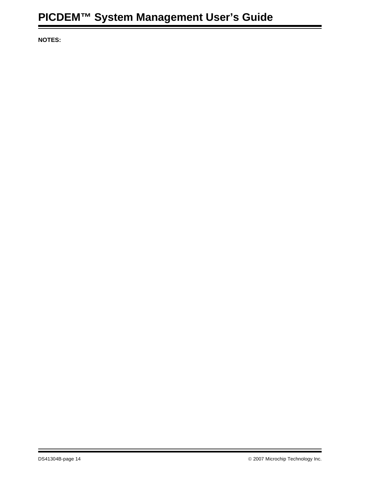**NOTES:**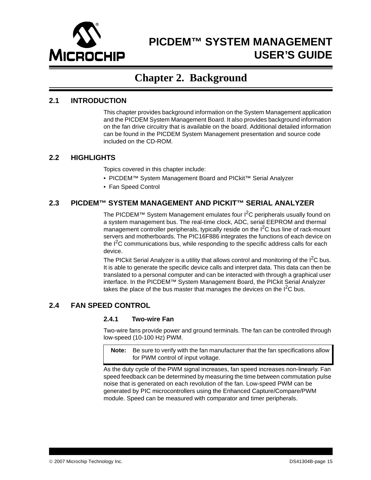

## <span id="page-18-6"></span>**PICDEM™ SYSTEM MANAGEMENT USER'S GUIDE**

### **Chapter 2. Background**

#### <span id="page-18-1"></span><span id="page-18-0"></span>**2.1 INTRODUCTION**

This chapter provides background information on the System Management application and the PICDEM System Management Board. It also provides background information on the fan drive circuitry that is available on the board. Additional detailed information can be found in the PICDEM System Management presentation and source code included on the CD-ROM.

#### <span id="page-18-2"></span>**2.2 HIGHLIGHTS**

Topics covered in this chapter include:

- PICDEM™ System Management Board and PICkit™ Serial Analyzer
- Fan Speed Control

#### <span id="page-18-3"></span>**2.3 PICDEM™ SYSTEM MANAGEMENT AND PICKIT™ SERIAL ANALYZER**

The PICDEM™ System Management emulates four  ${}^{12}C$  peripherals usually found on a system management bus. The real-time clock, ADC, serial EEPROM and thermal management controller peripherals, typically reside on the  $I<sup>2</sup>C$  bus line of rack-mount servers and motherboards. The PIC16F886 integrates the functions of each device on the  $I^2C$  communications bus, while responding to the specific address calls for each device.

The PICkit Serial Analyzer is a utility that allows control and monitoring of the  $I^2C$  bus. It is able to generate the specific device calls and interpret data. This data can then be translated to a personal computer and can be interacted with through a graphical user interface. In the PICDEM™ System Management Board, the PICkit Serial Analyzer takes the place of the bus master that manages the devices on the  $I<sup>2</sup>C$  bus.

#### <span id="page-18-4"></span>**2.4 FAN SPEED CONTROL**

#### <span id="page-18-5"></span>**2.4.1 Two-wire Fan**

Two-wire fans provide power and ground terminals. The fan can be controlled through low-speed (10-100 Hz) PWM.

**Note:** Be sure to verify with the fan manufacturer that the fan specifications allow for PWM control of input voltage.

As the duty cycle of the PWM signal increases, fan speed increases non-linearly. Fan speed feedback can be determined by measuring the time between commutation pulse noise that is generated on each revolution of the fan. Low-speed PWM can be generated by PIC microcontrollers using the Enhanced Capture/Compare/PWM module. Speed can be measured with comparator and timer peripherals.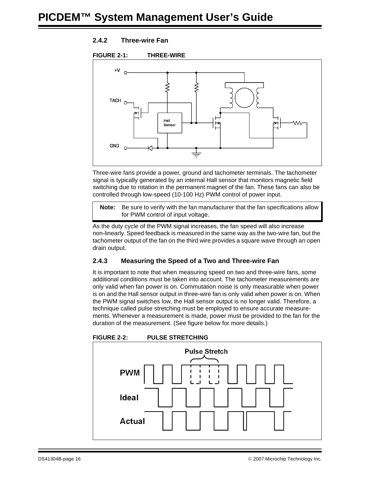#### <span id="page-19-0"></span>**2.4.2 Three-wire Fan**



Three-wire fans provide a power, ground and tachometer terminals. The tachometer signal is typically generated by an internal Hall sensor that monitors magnetic field switching due to rotation in the permanent magnet of the fan. These fans can also be controlled through low-speed (10-100 Hz) PWM control of power input.

**Note:** Be sure to verify with the fan manufacturer that the fan specifications allow for PWM control of input voltage.

As the duty cycle of the PWM signal increases, the fan speed will also increase non-linearly. Speed feedback is measured in the same way as the two-wire fan, but the tachometer output of the fan on the third wire provides a square wave through an open drain output.

#### <span id="page-19-1"></span>**2.4.3 Measuring the Speed of a Two and Three-wire Fan**

It is important to note that when measuring speed on two and three-wire fans, some additional conditions must be taken into account. The tachometer measurements are only valid when fan power is on. Commutation noise is only measurable when power is on and the Hall sensor output in three-wire fan is only valid when power is on. When the PWM signal switches low, the Hall sensor output is no longer valid. Therefore, a technique called pulse stretching must be employed to ensure accurate measurements. Whenever a measurement is made, power must be provided to the fan for the duration of the measurement. (See figure below for more details.)



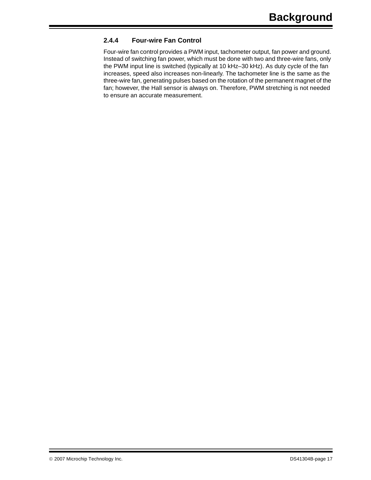#### <span id="page-20-0"></span>**2.4.4 Four-wire Fan Control**

Four-wire fan control provides a PWM input, tachometer output, fan power and ground. Instead of switching fan power, which must be done with two and three-wire fans, only the PWM input line is switched (typically at 10 kHz–30 kHz). As duty cycle of the fan increases, speed also increases non-linearly. The tachometer line is the same as the three-wire fan, generating pulses based on the rotation of the permanent magnet of the fan; however, the Hall sensor is always on. Therefore, PWM stretching is not needed to ensure an accurate measurement.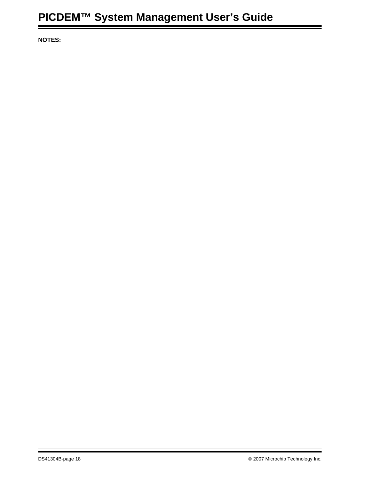**NOTES:**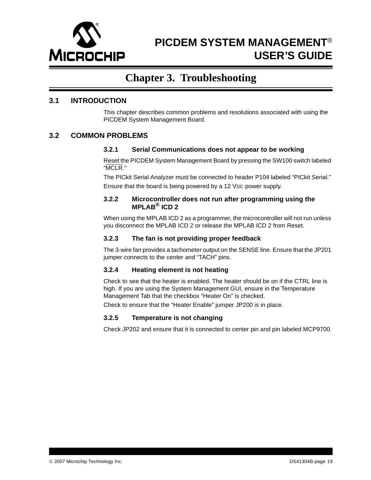

# <span id="page-22-8"></span>**PICDEM SYSTEM MANAGEMENT**® **USER'S GUIDE**

## **Chapter 3. Troubleshooting**

#### <span id="page-22-1"></span><span id="page-22-0"></span>**3.1 INTRODUCTION**

This chapter describes common problems and resolutions associated with using the PICDEM System Management Board.

#### <span id="page-22-2"></span>**3.2 COMMON PROBLEMS**

#### <span id="page-22-3"></span>**3.2.1 Serial Communications does not appear to be working**

Reset the PICDEM System Management Board by pressing the SW100 switch labeled "MCLR."

The PICkit Serial Analyzer must be connected to header P104 labeled "PICkit Serial." Ensure that the board is being powered by a 12 VDC power supply.

#### <span id="page-22-4"></span>**3.2.2 Microcontroller does not run after programming using the MPLAB® ICD 2**

When using the MPLAB ICD 2 as a programmer, the microcontroller will not run unless you disconnect the MPLAB ICD 2 or release the MPLAB ICD 2 from Reset.

#### <span id="page-22-5"></span>**3.2.3 The fan is not providing proper feedback**

The 3-wire fan provides a tachometer output on the SENSE line. Ensure that the JP201 jumper connects to the center and "TACH" pins.

#### <span id="page-22-6"></span>**3.2.4 Heating element is not heating**

Check to see that the heater is enabled. The heater should be on if the CTRL line is high. If you are using the System Management GUI, ensure in the Temperature Management Tab that the checkbox "Heater On" is checked.

Check to ensure that the "Heater Enable" jumper JP200 is in place.

#### <span id="page-22-7"></span>**3.2.5 Temperature is not changing**

Check JP202 and ensure that it is connected to center pin and pin labeled MCP9700.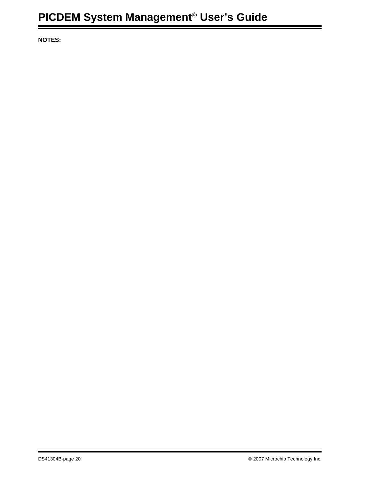**NOTES:**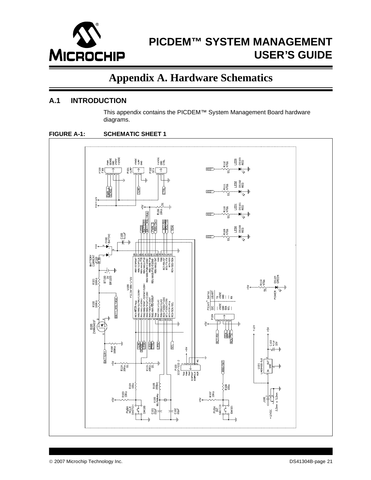

# <span id="page-24-2"></span>**PICDEM™ SYSTEM MANAGEMENT USER'S GUIDE**

### **Appendix A. Hardware Schematics**

#### <span id="page-24-1"></span><span id="page-24-0"></span>**A.1 INTRODUCTION**

This appendix contains the PICDEM™ System Management Board hardware diagrams.



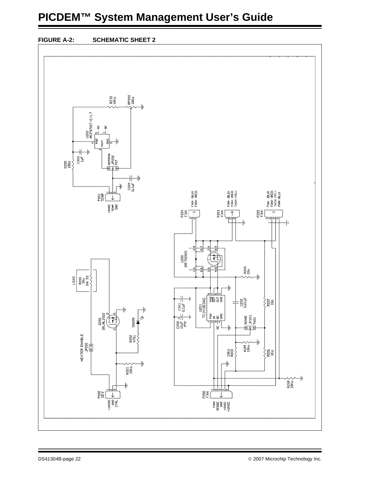# **PICDEM™ System Management User's Guide**



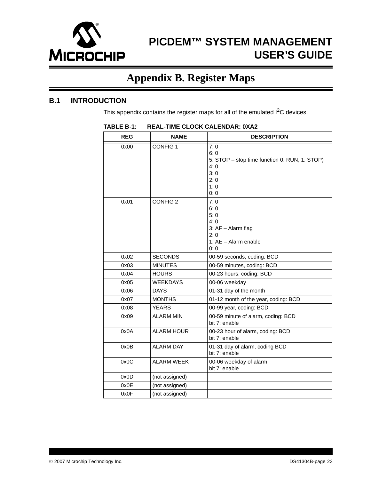

# **PICDEM™ SYSTEM MANAGEMENT USER'S GUIDE**

# <span id="page-26-2"></span>**Appendix B. Register Maps**

#### <span id="page-26-1"></span><span id="page-26-0"></span>**B.1 INTRODUCTION**

This appendix contains the register maps for all of the emulated  $I<sup>2</sup>C$  devices.

| <b>REG</b>   | <b>NAME</b>                       | <b>DESCRIPTION</b>                                                                                                                                                                  |
|--------------|-----------------------------------|-------------------------------------------------------------------------------------------------------------------------------------------------------------------------------------|
| 0x00<br>0x01 | <b>CONFIG1</b><br><b>CONFIG 2</b> | 7:0<br>6:0<br>5: STOP - stop time function 0: RUN, 1: STOP)<br>4:0<br>3:0<br>2:0<br>1:0<br>0:0<br>7:0<br>6:0<br>5:0<br>4:0<br>3: $AF - Alarm flag$<br>2:0<br>1: $AE - Alarm$ enable |
|              |                                   | 0: 0                                                                                                                                                                                |
| 0x02         | <b>SECONDS</b>                    | 00-59 seconds, coding: BCD                                                                                                                                                          |
| 0x03         | <b>MINUTES</b>                    | 00-59 minutes, coding: BCD                                                                                                                                                          |
| 0x04         | <b>HOURS</b>                      | 00-23 hours, coding: BCD                                                                                                                                                            |
| 0x05         | <b>WEEKDAYS</b>                   | 00-06 weekday                                                                                                                                                                       |
| 0x06         | <b>DAYS</b>                       | 01-31 day of the month                                                                                                                                                              |
| 0x07         | <b>MONTHS</b>                     | 01-12 month of the year, coding: BCD                                                                                                                                                |
| 0x08         | <b>YEARS</b>                      | 00-99 year, coding: BCD                                                                                                                                                             |
| 0x09         | <b>ALARM MIN</b>                  | 00-59 minute of alarm, coding: BCD<br>bit 7: enable                                                                                                                                 |
| 0x0A         | <b>ALARM HOUR</b>                 | 00-23 hour of alarm, coding: BCD<br>bit 7: enable                                                                                                                                   |
| 0x0B         | <b>ALARM DAY</b>                  | 01-31 day of alarm, coding BCD<br>bit 7: enable                                                                                                                                     |
| 0x0C         | <b>ALARM WEEK</b>                 | 00-06 weekday of alarm<br>bit 7: enable                                                                                                                                             |
| 0x0D         | (not assigned)                    |                                                                                                                                                                                     |
| 0x0E         | (not assigned)                    |                                                                                                                                                                                     |
| 0x0F         | (not assigned)                    |                                                                                                                                                                                     |

#### **TABLE B-1: REAL-TIME CLOCK CALENDAR: 0XA2**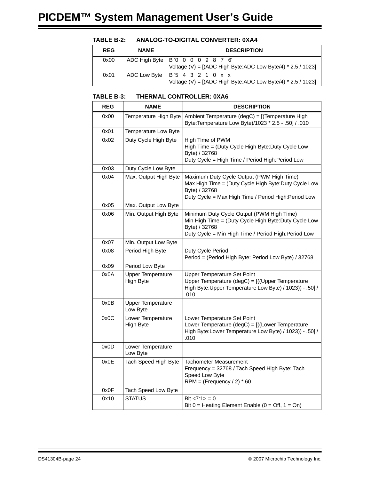| <b>REG</b> | <b>NAME</b> | <b>DESCRIPTION</b>                                                                                 |
|------------|-------------|----------------------------------------------------------------------------------------------------|
| 0x00       |             | ADC High Byte   B '0 0 0 0 9 8 7 6'<br>Voltage (V) = $[(ADC HighByte:ADC LowByte/4) * 2.5 / 1023]$ |
| 0x01       |             | ADC Low Byte   B'5 4 3 2 1 0 x x<br>Voltage (V) = $[(ADC HighByte:ADC LowByte/4) * 2.5 / 1023]$    |

#### **TABLE B-2: ANALOG-TO-DIGITAL CONVERTER: 0XA4**

#### **TABLE B-3: THERMAL CONTROLLER: 0XA6**

| <b>REG</b> | <b>NAME</b>                           | <b>DESCRIPTION</b>                                                                                                                                                         |
|------------|---------------------------------------|----------------------------------------------------------------------------------------------------------------------------------------------------------------------------|
| 0x00       | Temperature High Byte                 | Ambient Temperature (degC) = [(Temperature High<br>Byte: Temperature Low Byte)/1023 * 2.5 - .50] / .010                                                                    |
| 0x01       | Temperature Low Byte                  |                                                                                                                                                                            |
| 0x02       | Duty Cycle High Byte                  | High Time of PWM<br>High Time = (Duty Cycle High Byte:Duty Cycle Low<br>Byte) / 32768<br>Duty Cycle = High Time / Period High: Period Low                                  |
| 0x03       | Duty Cycle Low Byte                   |                                                                                                                                                                            |
| 0x04       | Max. Output High Byte                 | Maximum Duty Cycle Output (PWM High Time)<br>Max High Time = (Duty Cycle High Byte:Duty Cycle Low<br>Byte) / 32768<br>Duty Cycle = Max High Time / Period High: Period Low |
| 0x05       | Max. Output Low Byte                  |                                                                                                                                                                            |
| 0x06       | Min. Output High Byte                 | Minimum Duty Cycle Output (PWM High Time)<br>Min High Time = (Duty Cycle High Byte:Duty Cycle Low<br>Byte) / 32768<br>Duty Cycle = Min High Time / Period High: Period Low |
| 0x07       | Min. Output Low Byte                  |                                                                                                                                                                            |
| 0x08       | Period High Byte                      | Duty Cycle Period<br>Period = (Period High Byte: Period Low Byte) / 32768                                                                                                  |
| 0x09       | Period Low Byte                       |                                                                                                                                                                            |
| 0x0A       | <b>Upper Temperature</b><br>High Byte | <b>Upper Temperature Set Point</b><br>Upper Temperature (degC) = [((Upper Temperature<br>High Byte: Upper Temperature Low Byte) / 1023)) - .50] /<br>.010                  |
| 0x0B       | <b>Upper Temperature</b><br>Low Byte  |                                                                                                                                                                            |
| 0x0C       | Lower Temperature<br>High Byte        | Lower Temperature Set Point<br>Lower Temperature (degC) = [((Lower Temperature<br>High Byte: Lower Temperature Low Byte) / 1023)) - .50] /<br>.010                         |
| 0x0D       | Lower Temperature<br>Low Byte         |                                                                                                                                                                            |
| 0x0E       | Tach Speed High Byte                  | Tachometer Measurement<br>Frequency = 32768 / Tach Speed High Byte: Tach<br>Speed Low Byte<br>RPM = (Frequency $/ 2$ ) * 60                                                |
| 0x0F       | Tach Speed Low Byte                   |                                                                                                                                                                            |
| 0x10       | <b>STATUS</b>                         | Bit $< 7:1 > 0$<br>Bit $0 =$ Heating Element Enable ( $0 =$ Off, $1 =$ On)                                                                                                 |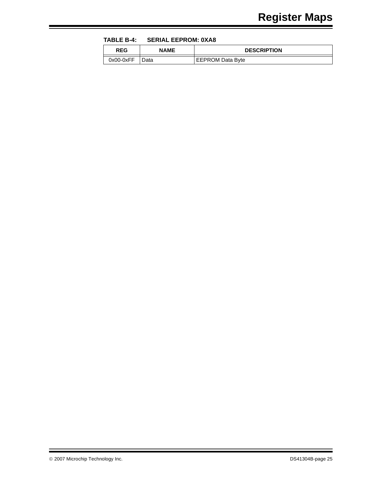<span id="page-28-0"></span>**TABLE B-4: SERIAL EEPROM: 0XA8**

| <b>REG</b>  | NAME | <b>DESCRIPTION</b>      |
|-------------|------|-------------------------|
| $0x00-0xFF$ | Data | <b>EEPROM Data Byte</b> |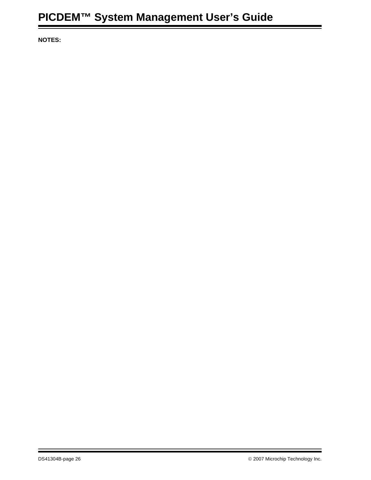**NOTES:**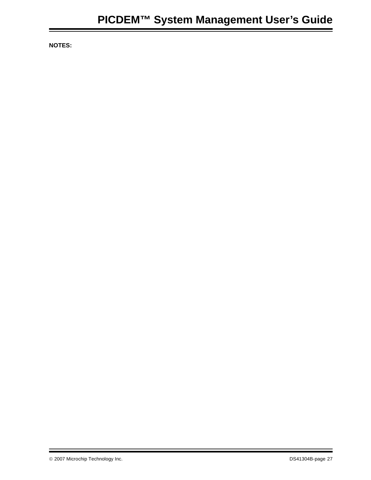**NOTES:**